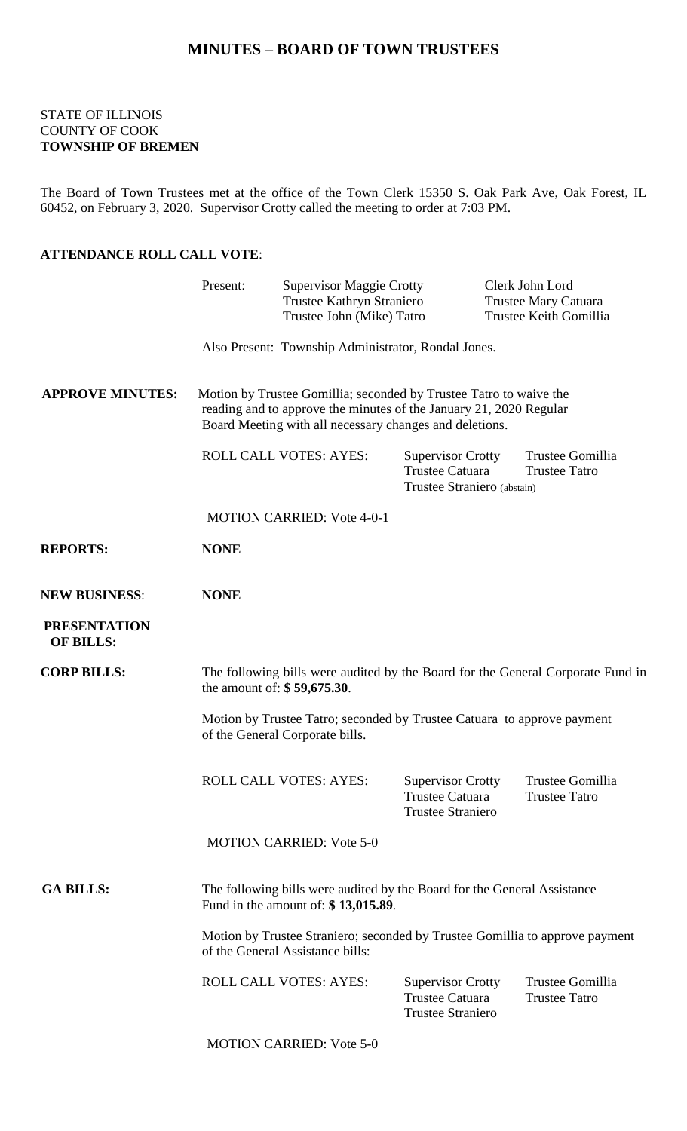## **MINUTES – BOARD OF TOWN TRUSTEES**

#### STATE OF ILLINOIS COUNTY OF COOK **TOWNSHIP OF BREMEN**

The Board of Town Trustees met at the office of the Town Clerk 15350 S. Oak Park Ave, Oak Forest, IL 60452, on February 3, 2020. Supervisor Crotty called the meeting to order at 7:03 PM.

#### **ATTENDANCE ROLL CALL VOTE**:

|                                         | Present:                                                                                                                                                                                            | <b>Supervisor Maggie Crotty</b><br>Trustee Kathryn Straniero<br>Trustee John (Mike) Tatro |                                                                                | Clerk John Lord<br>Trustee Mary Catuara<br>Trustee Keith Gomillia |  |
|-----------------------------------------|-----------------------------------------------------------------------------------------------------------------------------------------------------------------------------------------------------|-------------------------------------------------------------------------------------------|--------------------------------------------------------------------------------|-------------------------------------------------------------------|--|
|                                         | Also Present: Township Administrator, Rondal Jones.                                                                                                                                                 |                                                                                           |                                                                                |                                                                   |  |
| <b>APPROVE MINUTES:</b>                 | Motion by Trustee Gomillia; seconded by Trustee Tatro to waive the<br>reading and to approve the minutes of the January 21, 2020 Regular<br>Board Meeting with all necessary changes and deletions. |                                                                                           |                                                                                |                                                                   |  |
|                                         |                                                                                                                                                                                                     | <b>ROLL CALL VOTES: AYES:</b>                                                             | <b>Supervisor Crotty</b><br>Trustee Catuara<br>Trustee Straniero (abstain)     | Trustee Gomillia<br><b>Trustee Tatro</b>                          |  |
|                                         |                                                                                                                                                                                                     | <b>MOTION CARRIED: Vote 4-0-1</b>                                                         |                                                                                |                                                                   |  |
| <b>REPORTS:</b>                         | <b>NONE</b>                                                                                                                                                                                         |                                                                                           |                                                                                |                                                                   |  |
| <b>NEW BUSINESS:</b>                    | <b>NONE</b>                                                                                                                                                                                         |                                                                                           |                                                                                |                                                                   |  |
| <b>PRESENTATION</b><br><b>OF BILLS:</b> |                                                                                                                                                                                                     |                                                                                           |                                                                                |                                                                   |  |
| <b>CORP BILLS:</b>                      | The following bills were audited by the Board for the General Corporate Fund in<br>the amount of: \$59,675.30.                                                                                      |                                                                                           |                                                                                |                                                                   |  |
|                                         | Motion by Trustee Tatro; seconded by Trustee Catuara to approve payment<br>of the General Corporate bills.                                                                                          |                                                                                           |                                                                                |                                                                   |  |
|                                         |                                                                                                                                                                                                     | <b>ROLL CALL VOTES: AYES:</b>                                                             | <b>Supervisor Crotty</b><br>Trustee Catuara<br><b>Trustee Straniero</b>        | Trustee Gomillia<br><b>Trustee Tatro</b>                          |  |
|                                         |                                                                                                                                                                                                     | <b>MOTION CARRIED: Vote 5-0</b>                                                           |                                                                                |                                                                   |  |
| <b>GA BILLS:</b>                        | The following bills were audited by the Board for the General Assistance<br>Fund in the amount of: \$13,015.89.                                                                                     |                                                                                           |                                                                                |                                                                   |  |
|                                         | Motion by Trustee Straniero; seconded by Trustee Gomillia to approve payment<br>of the General Assistance bills:                                                                                    |                                                                                           |                                                                                |                                                                   |  |
|                                         |                                                                                                                                                                                                     | <b>ROLL CALL VOTES: AYES:</b>                                                             | <b>Supervisor Crotty</b><br><b>Trustee Catuara</b><br><b>Trustee Straniero</b> | Trustee Gomillia<br><b>Trustee Tatro</b>                          |  |
|                                         |                                                                                                                                                                                                     | <b>MOTION CARRIED: Vote 5-0</b>                                                           |                                                                                |                                                                   |  |